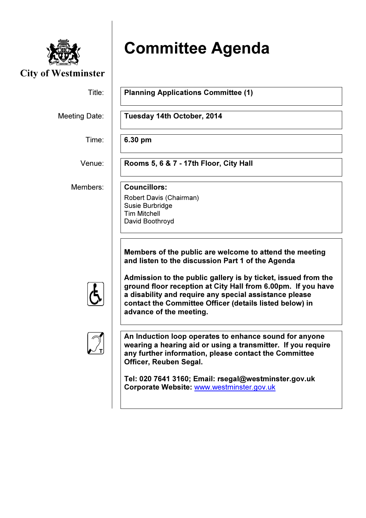

City of Westminster

# Committee Agenda

Title: **Planning Applications Committee (1)** 

Meeting Date: | Tuesday 14th October, 2014

Time:  $\vert$  6.30 pm

Venue:  $\vert$  Rooms 5, 6 & 7 - 17th Floor, City Hall

Members: | Councillors:



Robert Davis (Chairman) Susie Burbridge Tim Mitchell David Boothroyd

Members of the public are welcome to attend the meeting and listen to the discussion Part 1 of the Agenda

Admission to the public gallery is by ticket, issued from the ground floor reception at City Hall from 6.00pm. If you have a disability and require any special assistance please contact the Committee Officer (details listed below) in advance of the meeting.



An Induction loop operates to enhance sound for anyone wearing a hearing aid or using a transmitter. If you require any further information, please contact the Committee Officer, Reuben Segal.

Tel: 020 7641 3160; Email: rsegal@westminster.gov.uk Corporate Website: www.westminster.gov.uk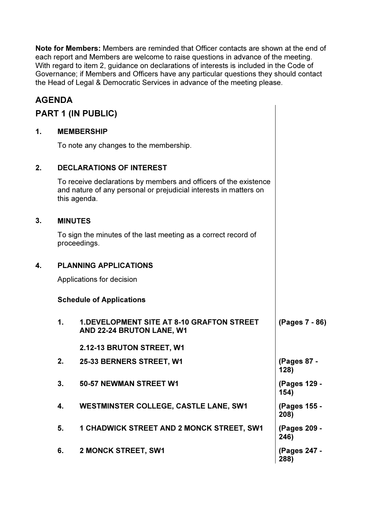Note for Members: Members are reminded that Officer contacts are shown at the end of each report and Members are welcome to raise questions in advance of the meeting. With regard to item 2, guidance on declarations of interests is included in the Code of Governance; if Members and Officers have any particular questions they should contact the Head of Legal & Democratic Services in advance of the meeting please.

## AGENDA

### PART 1 (IN PUBLIC)

#### 1. MEMBERSHIP

To note any changes to the membership.

#### 2. DECLARATIONS OF INTEREST

 To receive declarations by members and officers of the existence and nature of any personal or prejudicial interests in matters on this agenda.

#### 3. MINUTES

 To sign the minutes of the last meeting as a correct record of proceedings.

#### 4. PLANNING APPLICATIONS

Applications for decision

#### Schedule of Applications

| $\mathbf 1$ . | <b>1.DEVELOPMENT SITE AT 8-10 GRAFTON STREET</b><br>AND 22-24 BRUTON LANE, W1 | (Pages 7 - 86)       |
|---------------|-------------------------------------------------------------------------------|----------------------|
|               | 2.12-13 BRUTON STREET, W1                                                     |                      |
| 2.            | 25-33 BERNERS STREET, W1                                                      | (Pages 87 -<br>128)  |
| 3.            | 50-57 NEWMAN STREET W1                                                        | (Pages 129 -<br>154) |
| 4.            | <b>WESTMINSTER COLLEGE, CASTLE LANE, SW1</b>                                  | (Pages 155 -<br>208) |
| 5.            | <b>1 CHADWICK STREET AND 2 MONCK STREET, SW1</b>                              | (Pages 209 -<br>246) |
| 6.            | <b>2 MONCK STREET, SW1</b>                                                    | (Pages 247 -<br>288) |